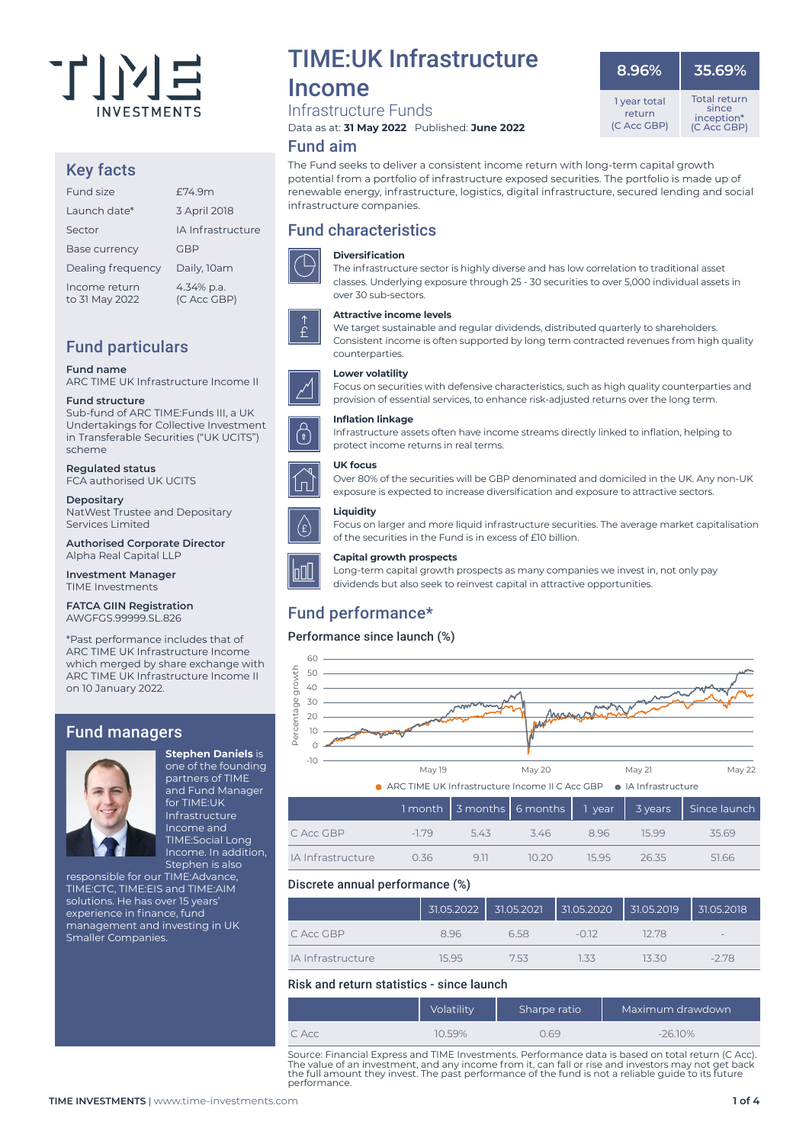

#### Key facts

| Fund size                       | f74.9m                    |
|---------------------------------|---------------------------|
| Launch date*                    | 3 April 2018              |
| Sector                          | <b>IA Infrastructure</b>  |
| <b>Base currency</b>            | <b>GBP</b>                |
| Dealing frequency               | Daily, 10am               |
| Income return<br>to 31 May 2022 | 4.34% p.a.<br>(C Acc GBP) |

### Fund particulars

**Fund name**

ARC TIME UK Infrastructure Income II

#### **Fund structure**

Sub-fund of ARC TIME:Funds III, a UK Undertakings for Collective Investment in Transferable Securities ("UK UCITS") scheme

**Regulated status**

FCA authorised UK UCITS

**Depositary** NatWest Trustee and Depositary Services Limited

**Authorised Corporate Director** Alpha Real Capital LLP

**Investment Manager** TIME Investments

**FATCA GIIN Registration** AWGFGS.99999.SL.826

\*Past performance includes that of ARC TIME UK Infrastructure Income which merged by share exchange with ARC TIME UK Infrastructure Income II on 10 January 2022.

#### Fund managers



one of the founding partners of TIME and Fund Manager for TIME:UK Infrastructure Income and TIME:Social Long Income. In addition, Stephen is also

**Stephen Daniels** is

responsible for our TIME:Advance, TIME:CTC, TIME:EIS and TIME:AIM solutions. He has over 15 years' experience in finance, fund management and investing in UK Smaller Companies.

## TIME:UK Infrastructure

## Income

Infrastructure Funds

Data as at: **31 May 2022** Published: **June 2022**

#### Fund aim

The Fund seeks to deliver a consistent income return with long-term capital growth potential from a portfolio of infrastructure exposed securities. The portfolio is made up of renewable energy, infrastructure, logistics, digital infrastructure, secured lending and social infrastructure companies.

#### Fund characteristics



**Diversification** The infrastructure sector is highly diverse and has low correlation to traditional asset

classes. Underlying exposure through 25 - 30 securities to over 5,000 individual assets in

**Attractive income levels**

We target sustainable and regular dividends, distributed quarterly to shareholders. Consistent income is often supported by long term contracted revenues from high quality counterparties.

Focus on securities with defensive characteristics, such as high quality counterparties and provision of essential services, to enhance risk-adjusted returns over the long term.

#### **Lower volatility**



#### **Inflation linkage**



#### Infrastructure assets often have income streams directly linked to inflation, helping to protect income returns in real terms.

**UK focus**

#### exposure is expected to increase diversification and exposure to attractive sectors. **Liquidity**



loΩ∐

Focus on larger and more liquid infrastructure securities. The average market capitalisation of the securities in the Fund is in excess of £10 billion.

Over 80% of the securities will be GBP denominated and domiciled in the UK. Any non-UK

#### **Capital growth prospects**

Long-term capital growth prospects as many companies we invest in, not only pay dividends but also seek to reinvest capital in attractive opportunities.

### Fund performance\*

#### Performance since launch (%)



|                   |      |         |        |      |       | 1 month 3 months 6 months 1 year 3 years Since launch |
|-------------------|------|---------|--------|------|-------|-------------------------------------------------------|
| C Acc GBP         | -179 | $-5.43$ | 3.46   | 896  | 15.99 | 35.69                                                 |
| IA Infrastructure | 0.36 | 911     | 10.20. | 1595 | 26.35 | 51.66                                                 |

#### Discrete annual performance (%)

|                   | 31.05.2022 | 31.05.2021 | 31.05.2020 | 131.05.2019 | 31.05.2018                      |
|-------------------|------------|------------|------------|-------------|---------------------------------|
| C Acc GBP         | 8.96       | 658        | $-012$     | 12.78       | $\hspace{0.1mm}-\hspace{0.1mm}$ |
| IA Infrastructure | 1595       | 753        | 133        | 13 30.      | $-2.78$                         |

#### Risk and return statistics - since launch

|       | Volatility | Sharpe ratio | Maximum drawdown |
|-------|------------|--------------|------------------|
| C Acc | 10.59%     | 0.69         | $-26.10\%$       |

Source: Financial Express and TIME Investments. Performance data is based on total return (C Acc). The value of an investment, and any income from it, can fall or rise and investors may not get back the full amount they invest. The past performance of the fund is not a reliable guide to its future performance.

 **8.96%**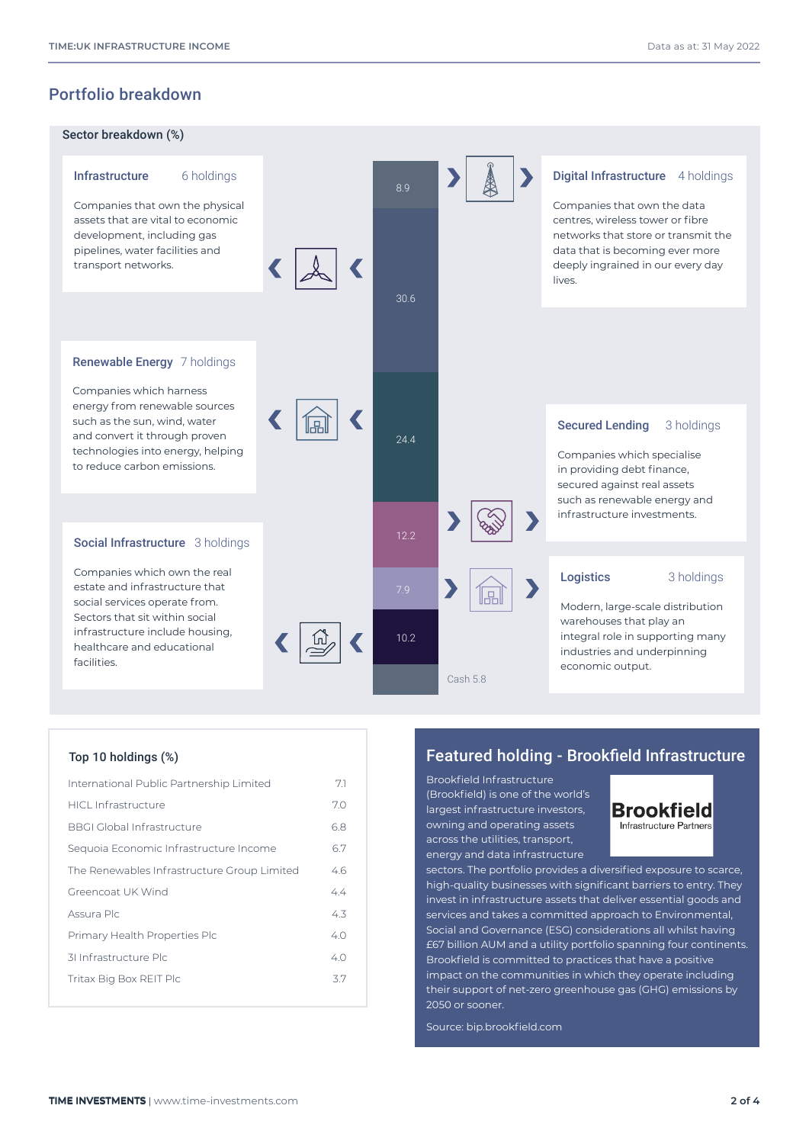### Portfolio breakdown



| International Public Partnership Limited    | 7.1 |
|---------------------------------------------|-----|
| HICL Infrastructure                         | 7.0 |
| <b>BBGI Global Infrastructure</b>           | 6.8 |
| Sequoia Economic Infrastructure Income      | 6.7 |
| The Renewables Infrastructure Group Limited | 46  |
| Greencoat UK Wind                           | 4.4 |
| Assura Plc                                  | 4.3 |
| Primary Health Properties Plc               | 40  |
| 31 Infrastructure Plc                       | 4.0 |
| Tritax Big Box REIT Plc                     | 3.7 |
|                                             |     |

#### Top 10 holdings (%) Featured holding - Brookfield Infrastructure

Brookfield Infrastructure (Brookfield) is one of the world's largest infrastructure investors, owning and operating assets across the utilities, transport, energy and data infrastructure



sectors. The portfolio provides a diversified exposure to scarce, high-quality businesses with significant barriers to entry. They invest in infrastructure assets that deliver essential goods and services and takes a committed approach to Environmental, Social and Governance (ESG) considerations all whilst having £67 billion AUM and a utility portfolio spanning four continents. Brookfield is committed to practices that have a positive impact on the communities in which they operate including their support of net-zero greenhouse gas (GHG) emissions by 2050 or sooner.

Source: bip.brookfield.com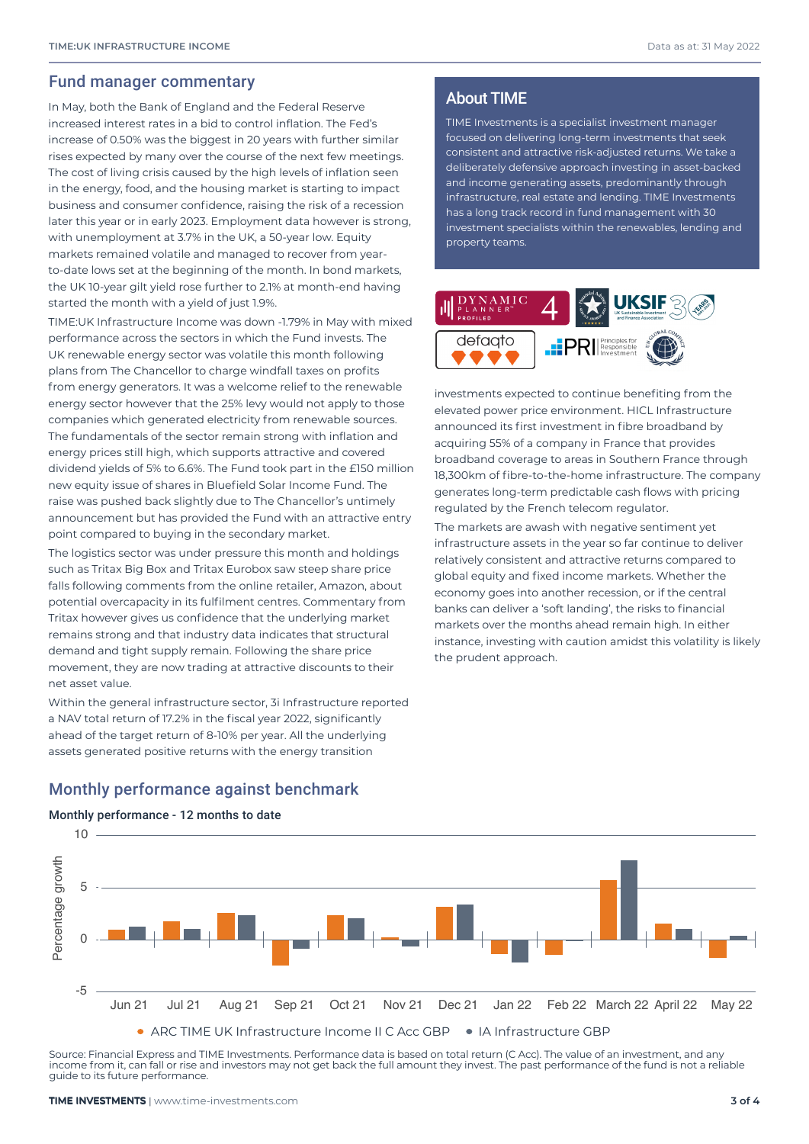#### Fund manager commentary

In May, both the Bank of England and the Federal Reserve increased interest rates in a bid to control inflation. The Fed's increase of 0.50% was the biggest in 20 years with further similar rises expected by many over the course of the next few meetings. The cost of living crisis caused by the high levels of inflation seen in the energy, food, and the housing market is starting to impact business and consumer confidence, raising the risk of a recession later this year or in early 2023. Employment data however is strong, with unemployment at 3.7% in the UK, a 50-year low. Equity markets remained volatile and managed to recover from yearto-date lows set at the beginning of the month. In bond markets, the UK 10-year gilt yield rose further to 2.1% at month-end having started the month with a yield of just 1.9%.

TIME:UK Infrastructure Income was down -1.79% in May with mixed performance across the sectors in which the Fund invests. The UK renewable energy sector was volatile this month following plans from The Chancellor to charge windfall taxes on profits from energy generators. It was a welcome relief to the renewable energy sector however that the 25% levy would not apply to those companies which generated electricity from renewable sources. The fundamentals of the sector remain strong with inflation and energy prices still high, which supports attractive and covered dividend yields of 5% to 6.6%. The Fund took part in the £150 million new equity issue of shares in Bluefield Solar Income Fund. The raise was pushed back slightly due to The Chancellor's untimely announcement but has provided the Fund with an attractive entry point compared to buying in the secondary market.

The logistics sector was under pressure this month and holdings such as Tritax Big Box and Tritax Eurobox saw steep share price falls following comments from the online retailer, Amazon, about potential overcapacity in its fulfilment centres. Commentary from Tritax however gives us confidence that the underlying market remains strong and that industry data indicates that structural demand and tight supply remain. Following the share price movement, they are now trading at attractive discounts to their net asset value.

Within the general infrastructure sector, 3i Infrastructure reported a NAV total return of 17.2% in the fiscal year 2022, significantly ahead of the target return of 8-10% per year. All the underlying assets generated positive returns with the energy transition

#### About TIME

TIME Investments is a specialist investment manager focused on delivering long-term investments that seek consistent and attractive risk-adjusted returns. We take a deliberately defensive approach investing in asset-backed and income generating assets, predominantly through infrastructure, real estate and lending. TIME Investments has a long track record in fund management with 30 investment specialists within the renewables, lending and property teams.



investments expected to continue benefiting from the elevated power price environment. HICL Infrastructure announced its first investment in fibre broadband by acquiring 55% of a company in France that provides broadband coverage to areas in Southern France through 18,300km of fibre-to-the-home infrastructure. The company generates long-term predictable cash flows with pricing regulated by the French telecom regulator.

The markets are awash with negative sentiment yet infrastructure assets in the year so far continue to deliver relatively consistent and attractive returns compared to global equity and fixed income markets. Whether the economy goes into another recession, or if the central banks can deliver a 'soft landing', the risks to financial markets over the months ahead remain high. In either instance, investing with caution amidst this volatility is likely the prudent approach.

#### Monthly performance against benchmark

#### Monthly performance - 12 months to date



Source: Financial Express and TIME Investments. Performance data is based on total return (C Acc). The value of an investment, and any income from it, can fall or rise and investors may not get back the full amount they invest. The past performance of the fund is not a reliable guide to its future performance.